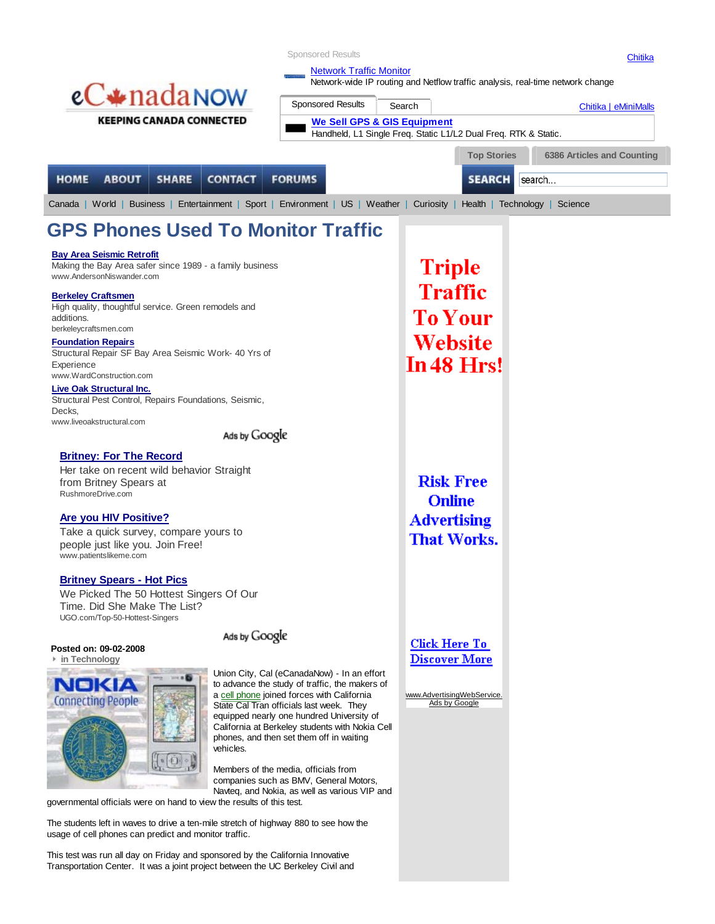|                                                                                                                                               | <b>Sponsored Results</b>                                                                      |                                        |                                                                 | Chitika                                                                        |
|-----------------------------------------------------------------------------------------------------------------------------------------------|-----------------------------------------------------------------------------------------------|----------------------------------------|-----------------------------------------------------------------|--------------------------------------------------------------------------------|
|                                                                                                                                               | <b>Network Traffic Monitor</b>                                                                |                                        |                                                                 |                                                                                |
| $eC*$ nada <sub>N</sub> ow                                                                                                                    |                                                                                               |                                        |                                                                 | Network-wide IP routing and Netflow traffic analysis, real-time network change |
|                                                                                                                                               | <b>Sponsored Results</b>                                                                      | Search                                 |                                                                 | Chitika   eMiniMalls                                                           |
| <b>KEEPING CANADA CONNECTED</b>                                                                                                               |                                                                                               | <b>We Sell GPS &amp; GIS Equipment</b> | Handheld, L1 Single Freq. Static L1/L2 Dual Freq. RTK & Static. |                                                                                |
|                                                                                                                                               |                                                                                               |                                        |                                                                 |                                                                                |
|                                                                                                                                               |                                                                                               |                                        | <b>Top Stories</b>                                              | 6386 Articles and Counting                                                     |
| <b>HOME</b><br><b>ABOUT</b><br><b>CONTACT</b><br><b>SHARE</b>                                                                                 | <b>FORUMS</b>                                                                                 |                                        | <b>SEARCH</b>                                                   | search                                                                         |
| Canada   World   Business   Entertainment   Sport   Environment   US   Weather   Curiosity   Health   Technology   Science                    |                                                                                               |                                        |                                                                 |                                                                                |
| <b>GPS Phones Used To Monitor Traffic</b>                                                                                                     |                                                                                               |                                        |                                                                 |                                                                                |
| <b>Bay Area Seismic Retrofit</b>                                                                                                              |                                                                                               |                                        |                                                                 |                                                                                |
| Making the Bay Area safer since 1989 - a family business<br>www.AndersonNiswander.com                                                         |                                                                                               |                                        | <b>Triple</b>                                                   |                                                                                |
| <b>Berkeley Craftsmen</b>                                                                                                                     |                                                                                               |                                        | Traffic                                                         |                                                                                |
| High quality, thoughtful service. Green remodels and                                                                                          |                                                                                               |                                        |                                                                 |                                                                                |
| additions.<br>berkeleycraftsmen.com                                                                                                           |                                                                                               |                                        | <b>To Your</b>                                                  |                                                                                |
| <b>Foundation Repairs</b>                                                                                                                     |                                                                                               |                                        | Website                                                         |                                                                                |
| Structural Repair SF Bay Area Seismic Work- 40 Yrs of<br>Experience                                                                           |                                                                                               |                                        | In 48 Hrs!                                                      |                                                                                |
| www.WardConstruction.com                                                                                                                      |                                                                                               |                                        |                                                                 |                                                                                |
| Live Oak Structural Inc.<br>Structural Pest Control, Repairs Foundations, Seismic,<br>Decks,                                                  |                                                                                               |                                        |                                                                 |                                                                                |
| www.liveoakstructural.com<br>Ads by Google                                                                                                    |                                                                                               |                                        |                                                                 |                                                                                |
|                                                                                                                                               |                                                                                               |                                        |                                                                 |                                                                                |
| <b>Britney: For The Record</b><br>Her take on recent wild behavior Straight                                                                   |                                                                                               |                                        |                                                                 |                                                                                |
| from Britney Spears at                                                                                                                        |                                                                                               |                                        | <b>Risk Free</b>                                                |                                                                                |
| RushmoreDrive.com                                                                                                                             |                                                                                               |                                        | <b>Online</b>                                                   |                                                                                |
| <b>Are you HIV Positive?</b>                                                                                                                  |                                                                                               |                                        | <b>Advertising</b>                                              |                                                                                |
| Take a quick survey, compare yours to                                                                                                         |                                                                                               |                                        | <b>That Works.</b>                                              |                                                                                |
| people just like you. Join Free!<br>www.patientslikeme.com                                                                                    |                                                                                               |                                        |                                                                 |                                                                                |
|                                                                                                                                               |                                                                                               |                                        |                                                                 |                                                                                |
| <b>Britney Spears - Hot Pics</b><br>We Picked The 50 Hottest Singers Of Our                                                                   |                                                                                               |                                        |                                                                 |                                                                                |
| Time. Did She Make The List?                                                                                                                  |                                                                                               |                                        |                                                                 |                                                                                |
| UGO.com/Top-50-Hottest-Singers                                                                                                                |                                                                                               |                                        |                                                                 |                                                                                |
| Ads by Google<br>Posted on: 09-02-2008                                                                                                        |                                                                                               |                                        | <b>Click Here To</b>                                            |                                                                                |
| in Technology                                                                                                                                 |                                                                                               |                                        | <b>Discover More</b>                                            |                                                                                |
|                                                                                                                                               | Union City, Cal (eCanadaNow) - In an effort<br>to advance the study of traffic, the makers of |                                        |                                                                 |                                                                                |
| <b>NOKIA</b><br><b>Connecting People</b>                                                                                                      | a cell phone joined forces with California                                                    |                                        | www.AdvertisingWebService.                                      |                                                                                |
|                                                                                                                                               | State Cal Tran officials last week. They<br>equipped nearly one hundred University of         |                                        | Ads by Google                                                   |                                                                                |
|                                                                                                                                               | California at Berkeley students with Nokia Cell<br>phones, and then set them off in waiting   |                                        |                                                                 |                                                                                |
| vehicles.                                                                                                                                     |                                                                                               |                                        |                                                                 |                                                                                |
|                                                                                                                                               | Members of the media, officials from                                                          |                                        |                                                                 |                                                                                |
| companies such as BMV, General Motors,<br>Navteg, and Nokia, as well as various VIP and                                                       |                                                                                               |                                        |                                                                 |                                                                                |
| governmental officials were on hand to view the results of this test.                                                                         |                                                                                               |                                        |                                                                 |                                                                                |
| The students left in waves to drive a ten-mile stretch of highway 880 to see how the<br>usage of cell phones can predict and monitor traffic. |                                                                                               |                                        |                                                                 |                                                                                |
| This test was run all day on Friday and sponsored by the California Innovative                                                                |                                                                                               |                                        |                                                                 |                                                                                |
| Transportation Center. It was a joint project between the UC Berkeley Civil and                                                               |                                                                                               |                                        |                                                                 |                                                                                |
|                                                                                                                                               |                                                                                               |                                        |                                                                 |                                                                                |